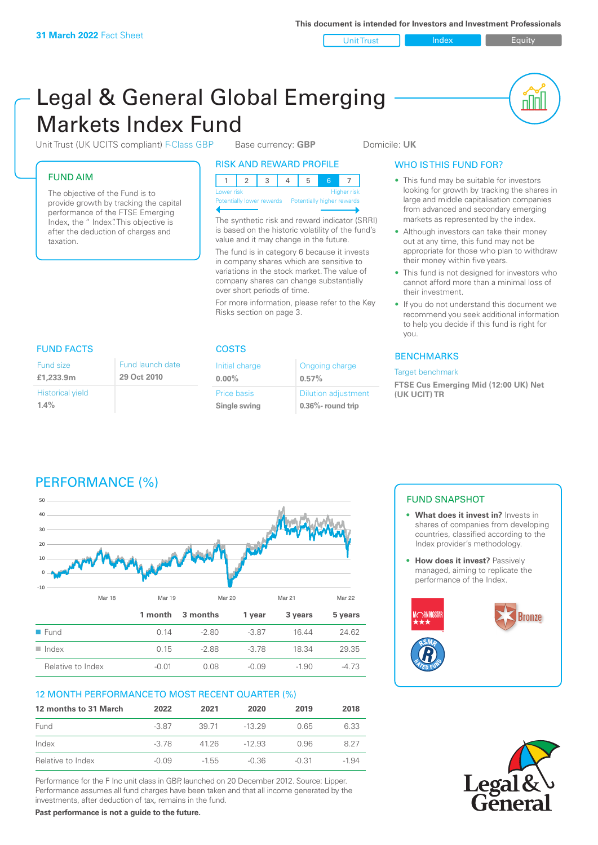Unit Trust Index **Index** Equity

nN

# Legal & General Global Emerging Markets Index Fund

Unit Trust (UK UCITS compliant) F-Class GBP Base currency: **GBP** Domicile: UK

# FUND AIM

The objective of the Fund is to provide growth by tracking the capital performance of the FTSE Emerging Index, the " Index". This objective is after the deduction of charges and taxation.

# RISK AND REWARD PROFILE

| Lower risk |  |  |  | <b>Higher risk</b> |
|------------|--|--|--|--------------------|

**Potentially lower rewards** 

The synthetic risk and reward indicator (SRRI) is based on the historic volatility of the fund's value and it may change in the future.

The fund is in category 6 because it invests in company shares which are sensitive to variations in the stock market. The value of company shares can change substantially over short periods of time.

For more information, please refer to the Key Risks section on page 3.

# WHO IS THIS FUND FOR?

- This fund may be suitable for investors looking for growth by tracking the shares in large and middle capitalisation companies from advanced and secondary emerging markets as represented by the index.
- Although investors can take their money out at any time, this fund may not be appropriate for those who plan to withdraw their money within five years.
- This fund is not designed for investors who cannot afford more than a minimal loss of their investment.
- If you do not understand this document we recommend you seek additional information to help you decide if this fund is right for you.

# **BENCHMARKS**

#### Target benchmark

**FTSE Cus Emerging Mid (12:00 UK) Net (UK UCIT) TR**

# FUND FACTS COSTS

| Fund size                          | Fund launch date |
|------------------------------------|------------------|
| £1,233.9m                          | 29 Oct 2010      |
| <b>Historical yield</b><br>$1.4\%$ |                  |

| Initial charge | Ongoing charge             |  |
|----------------|----------------------------|--|
| $0.00\%$       | 0.57%                      |  |
| Price basis    | <b>Dilution adjustment</b> |  |
| Single swing   | $0.36\%$ - round trip      |  |

# PERFORMANCE (%)



# 12 MONTH PERFORMANCE TO MOST RECENT QUARTER (%)

| 12 months to 31 March | 2022    | 2021    | 2020     | 2019  | 2018  |
|-----------------------|---------|---------|----------|-------|-------|
| Fund                  | $-3.87$ | 39 71   | -13.29   | O 65  | 6.33  |
| Index                 | $-3.78$ | 4126    | $-12.93$ | O 96  | 8.27  |
| Relative to Index     | $-0.09$ | $-1.55$ | $-0.36$  | -0.31 | -1.94 |

Performance for the F Inc unit class in GBP, launched on 20 December 2012. Source: Lipper. Performance assumes all fund charges have been taken and that all income generated by the investments, after deduction of tax, remains in the fund.

FUND SNAPSHOT

- **• What does it invest in?** Invests in shares of companies from developing countries, classified according to the Index provider's methodology.
- **How does it invest?** Passively managed, aiming to replicate the performance of the Index.





**Past performance is not a guide to the future.**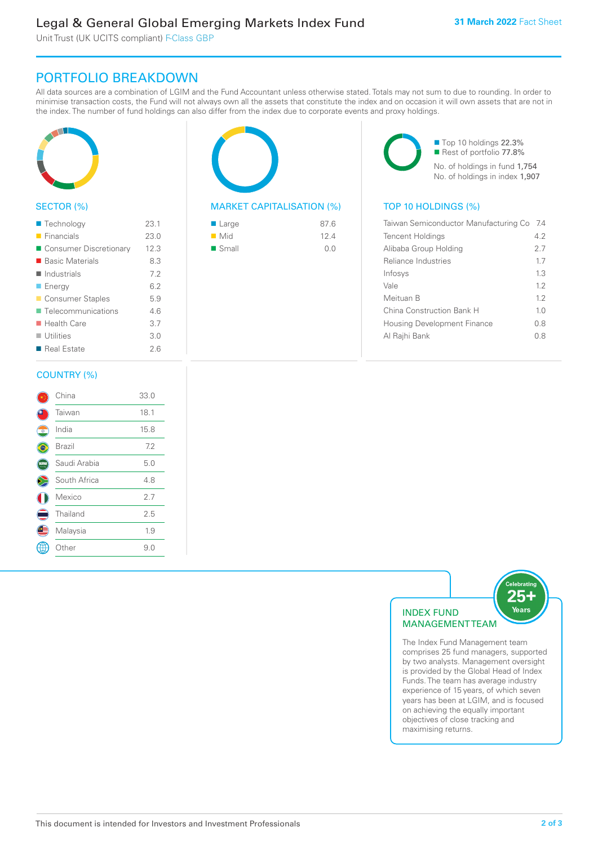Unit Trust (UK UCITS compliant) F-Class GBP

# PORTFOLIO BREAKDOWN

All data sources are a combination of LGIM and the Fund Accountant unless otherwise stated. Totals may not sum to due to rounding. In order to minimise transaction costs, the Fund will not always own all the assets that constitute the index and on occasion it will own assets that are not in the index. The number of fund holdings can also differ from the index due to corporate events and proxy holdings.



# SECTOR (%)

| ■ Technology               | 23.1 |
|----------------------------|------|
| $\blacksquare$ Financials  | 23.0 |
| ■ Consumer Discretionary   | 12.3 |
| ■ Basic Materials          | 8.3  |
| $\blacksquare$ Industrials | 7.2  |
| <b>Energy</b>              | 6.2  |
| Consumer Staples           | 5.9  |
| ■ Telecommunications       | 46   |
| ■ Health Care              | 3.7  |
| $\blacksquare$ Utilities   | 3.0  |
| ■ Real Estate              | 26   |
|                            |      |

## COUNTRY (%)

|            | China        | 33.0 |  |
|------------|--------------|------|--|
|            | Taiwan       | 18.1 |  |
| $^{\circ}$ | India        | 15.8 |  |
|            | Brazil       | 7.2  |  |
|            | Saudi Arabia | 5.0  |  |
|            | South Africa | 4.8  |  |
|            | Mexico       | 2.7  |  |
|            | Thailand     | 2.5  |  |
|            | Malaysia     | 1.9  |  |
|            | Other        | 9.0  |  |
|            |              |      |  |

# MARKET CAPITALISATION (%) TOP 10 HOLDINGS (%)

| ■ Large              | 87.6 |
|----------------------|------|
| $\blacksquare$ Mid   | 12.4 |
| $\blacksquare$ Small | 0.0  |

■ Top 10 holdings 22.3% Rest of portfolio 77.8% No. of holdings in fund 1,754 No. of holdings in index 1,907

| Taiwan Semiconductor Manufacturing Co | -7.4 |
|---------------------------------------|------|
| <b>Tencent Holdings</b>               | 4.2  |
| Alibaba Group Holding                 | 2.7  |
| Reliance Industries                   | 17   |
| Infosys                               | 13   |
| Vale                                  | 12   |
| Meituan B                             | 12   |
| China Construction Bank H             | 1.0  |
| <b>Housing Development Finance</b>    | 08   |
| Al Rajhi Bank                         | 0 8  |
|                                       |      |



The Index Fund Management team comprises 25 fund managers, supported by two analysts. Management oversight is provided by the Global Head of Index Funds. The team has average industry experience of 15 years, of which seven years has been at LGIM, and is focused on achieving the equally important objectives of close tracking and maximising returns.